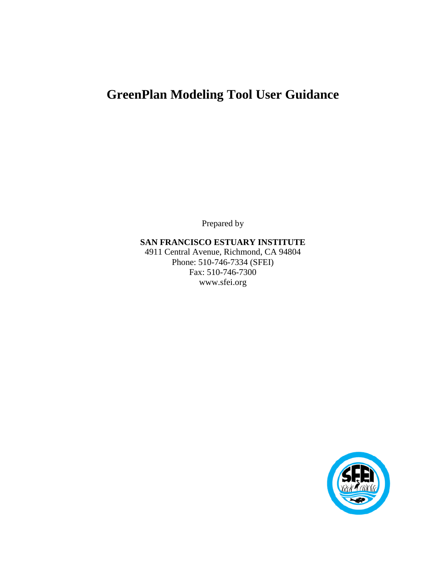# **GreenPlan Modeling Tool User Guidance**

Prepared by

**SAN FRANCISCO ESTUARY INSTITUTE** 4911 Central Avenue, Richmond, CA 94804 Phone: 510-746-7334 (SFEI) Fax: 510-746-7300 www.sfei.org

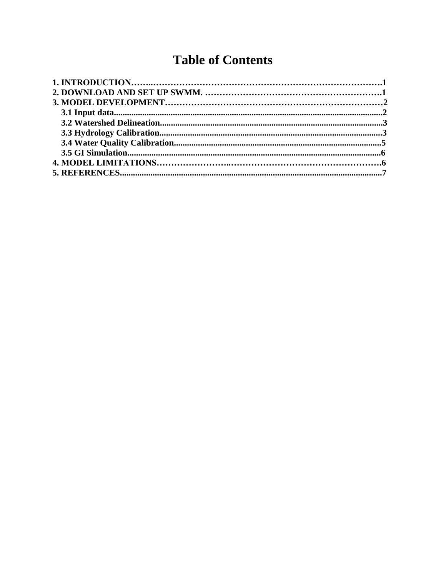# **Table of Contents**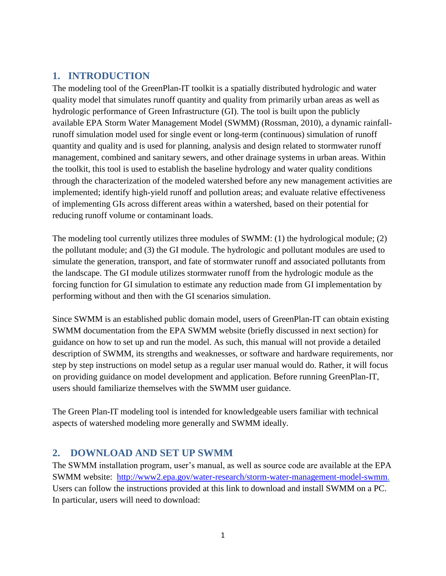# **1. INTRODUCTION**

The modeling tool of the GreenPlan-IT toolkit is a spatially distributed hydrologic and water quality model that simulates runoff quantity and quality from primarily urban areas as well as hydrologic performance of Green Infrastructure (GI). The tool is built upon the publicly available EPA Storm Water Management Model (SWMM) (Rossman, 2010), a dynamic rainfallrunoff simulation model used for single event or long-term (continuous) simulation of runoff quantity and quality and is used for planning, analysis and design related to stormwater runoff management, combined and sanitary sewers, and other drainage systems in urban areas. Within the toolkit, this tool is used to establish the baseline hydrology and water quality conditions through the characterization of the modeled watershed before any new management activities are implemented; identify high-yield runoff and pollution areas; and evaluate relative effectiveness of implementing GIs across different areas within a watershed, based on their potential for reducing runoff volume or contaminant loads.

The modeling tool currently utilizes three modules of SWMM: (1) the hydrological module; (2) the pollutant module; and (3) the GI module. The hydrologic and pollutant modules are used to simulate the generation, transport, and fate of stormwater runoff and associated pollutants from the landscape. The GI module utilizes stormwater runoff from the hydrologic module as the forcing function for GI simulation to estimate any reduction made from GI implementation by performing without and then with the GI scenarios simulation.

Since SWMM is an established public domain model, users of GreenPlan-IT can obtain existing SWMM documentation from the EPA SWMM website (briefly discussed in next section) for guidance on how to set up and run the model. As such, this manual will not provide a detailed description of SWMM, its strengths and weaknesses, or software and hardware requirements, nor step by step instructions on model setup as a regular user manual would do. Rather, it will focus on providing guidance on model development and application. Before running GreenPlan-IT, users should familiarize themselves with the SWMM user guidance.

The Green Plan-IT modeling tool is intended for knowledgeable users familiar with technical aspects of watershed modeling more generally and SWMM ideally.

# **2. DOWNLOAD AND SET UP SWMM**

The SWMM installation program, user's manual, as well as source code are available at the EPA SWMM website: [http://www2.epa.gov/water-research/storm-water-management-model-swmm.](http://www2.epa.gov/water-research/storm-water-management-model-swmm) Users can follow the instructions provided at this link to download and install SWMM on a PC. In particular, users will need to download: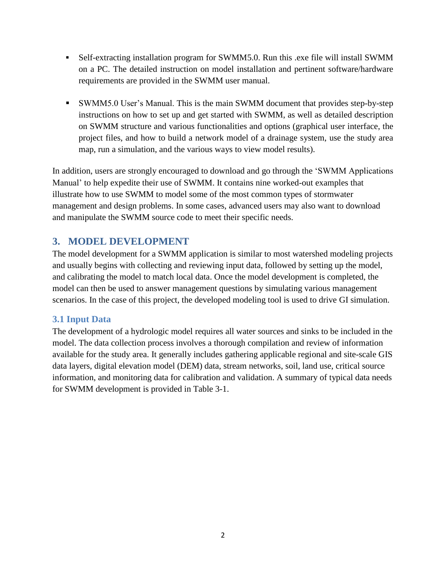- Self-extracting installation program for SWMM5.0. Run this .exe file will install SWMM on a PC. The detailed instruction on model installation and pertinent software/hardware requirements are provided in the SWMM user manual.
- SWMM5.0 User's Manual. This is the main SWMM document that provides step-by-step instructions on how to set up and get started with SWMM, as well as detailed description on SWMM structure and various functionalities and options (graphical user interface, the project files, and how to build a network model of a drainage system, use the study area map, run a simulation, and the various ways to view model results).

In addition, users are strongly encouraged to download and go through the 'SWMM Applications Manual' to help expedite their use of SWMM. It contains nine worked-out examples that illustrate how to use SWMM to model some of the most common types of stormwater management and design problems. In some cases, advanced users may also want to download and manipulate the SWMM source code to meet their specific needs.

## **3. MODEL DEVELOPMENT**

The model development for a SWMM application is similar to most watershed modeling projects and usually begins with collecting and reviewing input data, followed by setting up the model, and calibrating the model to match local data. Once the model development is completed, the model can then be used to answer management questions by simulating various management scenarios. In the case of this project, the developed modeling tool is used to drive GI simulation.

## **3.1 Input Data**

The development of a hydrologic model requires all water sources and sinks to be included in the model. The data collection process involves a thorough compilation and review of information available for the study area. It generally includes gathering applicable regional and site-scale GIS data layers, digital elevation model (DEM) data, stream networks, soil, land use, critical source information, and monitoring data for calibration and validation. A summary of typical data needs for SWMM development is provided in Table 3-1.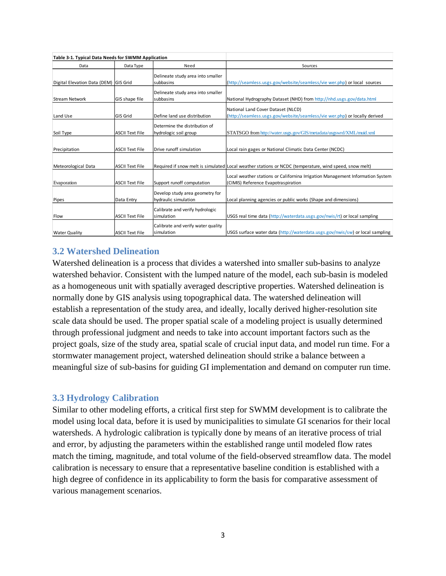| Table 3-1. Typical Data Needs for SWMM Application |                        |                                                         |                                                                                                                       |
|----------------------------------------------------|------------------------|---------------------------------------------------------|-----------------------------------------------------------------------------------------------------------------------|
| Data                                               | Data Type              | Need                                                    | Sources                                                                                                               |
| Digital Elevation Data (DEM) GIS Grid              |                        | Delineate study area into smaller<br>subbasins          | (http://seamless.usgs.gov/website/seamless/vie wer.php) or local sources                                              |
| <b>Stream Network</b>                              | GIS shape file         | Delineate study area into smaller<br>subbasins          | National Hydrography Dataset (NHD) from http://nhd.usgs.gov/data.html                                                 |
| Land Use                                           | <b>GIS Grid</b>        | Define land use distribution                            | National Land Cover Dataset (NLCD)<br>(http://seamless.usgs.gov/website/seamless/vie wer.php) or locally derived      |
| Soil Type                                          | <b>ASCII Text File</b> | Determine the distribution of<br>hydrologic soil group  | STATSGO from http://water.usgs.gov/GIS/metadata/usgswrd/XML/muid.xml                                                  |
| Precipitation                                      | <b>ASCII Text File</b> | Drive runoff simulation                                 | Local rain gages or National Climatic Data Center (NCDC)                                                              |
| Meteorological Data                                | <b>ASCII Text File</b> |                                                         | Required if snow melt is simulated Local weather stations or NCDC (temperature, wind speed, snow melt)                |
| Evaporation                                        | <b>ASCII Text File</b> | Support runoff computation                              | Local weather stations or Californina Irrigation Management Information System<br>(CIMIS) Reference Evapotraspiration |
| Pipes                                              | Data Entry             | Develop study area geometry for<br>hydraulic simulation | Local planning agencies or public works (Shape and dimensions)                                                        |
| Flow                                               | <b>ASCII Text File</b> | Calibrate and verify hydrologic<br>simulation           | USGS real time data (http://waterdata.usgs.gov/nwis/rt) or local sampling                                             |
| <b>Water Quality</b>                               | <b>ASCII Text File</b> | Calibrate and verify water quality<br>simulation        | USGS surface water data (http://waterdata.usgs.gov/nwis/sw) or local sampling                                         |

## **3.2 Watershed Delineation**

Watershed delineation is a process that divides a watershed into smaller sub-basins to analyze watershed behavior. Consistent with the lumped nature of the model, each sub-basin is modeled as a homogeneous unit with spatially averaged descriptive properties. Watershed delineation is normally done by GIS analysis using topographical data. The watershed delineation will establish a representation of the study area, and ideally, locally derived higher-resolution site scale data should be used. The proper spatial scale of a modeling project is usually determined through professional judgment and needs to take into account important factors such as the project goals, size of the study area, spatial scale of crucial input data, and model run time. For a stormwater management project, watershed delineation should strike a balance between a meaningful size of sub-basins for guiding GI implementation and demand on computer run time.

#### **3.3 Hydrology Calibration**

Similar to other modeling efforts, a critical first step for SWMM development is to calibrate the model using local data, before it is used by municipalities to simulate GI scenarios for their local watersheds. A hydrologic calibration is typically done by means of an iterative process of trial and error, by adjusting the parameters within the established range until modeled flow rates match the timing, magnitude, and total volume of the field-observed streamflow data. The model calibration is necessary to ensure that a representative baseline condition is established with a high degree of confidence in its applicability to form the basis for comparative assessment of various management scenarios.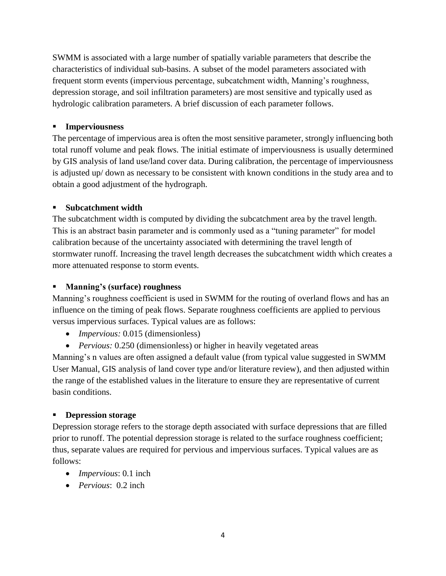SWMM is associated with a large number of spatially variable parameters that describe the characteristics of individual sub-basins. A subset of the model parameters associated with frequent storm events (impervious percentage, subcatchment width, Manning's roughness, depression storage, and soil infiltration parameters) are most sensitive and typically used as hydrologic calibration parameters. A brief discussion of each parameter follows.

#### **Imperviousness**

The percentage of impervious area is often the most sensitive parameter, strongly influencing both total runoff volume and peak flows. The initial estimate of imperviousness is usually determined by GIS analysis of land use/land cover data. During calibration, the percentage of imperviousness is adjusted up/ down as necessary to be consistent with known conditions in the study area and to obtain a good adjustment of the hydrograph.

#### **Subcatchment width**

The subcatchment width is computed by dividing the subcatchment area by the travel length. This is an abstract basin parameter and is commonly used as a "tuning parameter" for model calibration because of the uncertainty associated with determining the travel length of stormwater runoff. Increasing the travel length decreases the subcatchment width which creates a more attenuated response to storm events.

#### **Manning's (surface) roughness**

Manning's roughness coefficient is used in SWMM for the routing of overland flows and has an influence on the timing of peak flows. Separate roughness coefficients are applied to pervious versus impervious surfaces. Typical values are as follows:

- *Impervious:* 0.015 (dimensionless)
- *Pervious:* 0.250 (dimensionless) or higher in heavily vegetated areas

Manning's n values are often assigned a default value (from typical value suggested in SWMM User Manual, GIS analysis of land cover type and/or literature review), and then adjusted within the range of the established values in the literature to ensure they are representative of current basin conditions.

#### **Depression storage**

Depression storage refers to the storage depth associated with surface depressions that are filled prior to runoff. The potential depression storage is related to the surface roughness coefficient; thus, separate values are required for pervious and impervious surfaces. Typical values are as follows:

- *Impervious*: 0.1 inch
- *Pervious*: 0.2 inch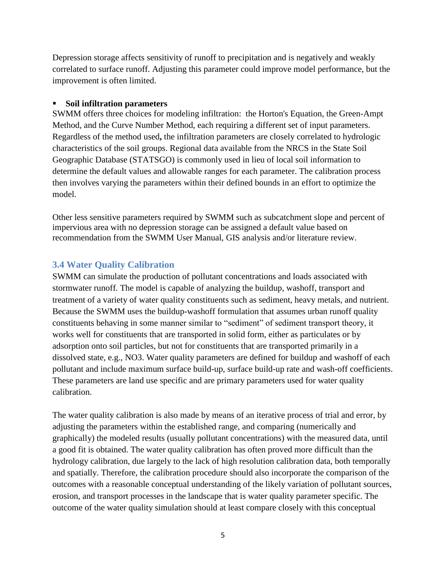Depression storage affects sensitivity of runoff to precipitation and is negatively and weakly correlated to surface runoff. Adjusting this parameter could improve model performance, but the improvement is often limited.

#### **Soil infiltration parameters**

SWMM offers three choices for modeling infiltration: the Horton's Equation, the Green-Ampt Method, and the Curve Number Method, each requiring a different set of input parameters. Regardless of the method used**,** the infiltration parameters are closely correlated to hydrologic characteristics of the soil groups. Regional data available from the NRCS in the State Soil Geographic Database (STATSGO) is commonly used in lieu of local soil information to determine the default values and allowable ranges for each parameter. The calibration process then involves varying the parameters within their defined bounds in an effort to optimize the model.

Other less sensitive parameters required by SWMM such as subcatchment slope and percent of impervious area with no depression storage can be assigned a default value based on recommendation from the SWMM User Manual, GIS analysis and/or literature review.

#### **3.4 Water Quality Calibration**

SWMM can simulate the production of pollutant concentrations and loads associated with stormwater runoff. The model is capable of analyzing the buildup, washoff, transport and treatment of a variety of water quality constituents such as sediment, heavy metals, and nutrient. Because the SWMM uses the buildup-washoff formulation that assumes urban runoff quality constituents behaving in some manner similar to "sediment" of sediment transport theory, it works well for constituents that are transported in solid form, either as particulates or by adsorption onto soil particles, but not for constituents that are transported primarily in a dissolved state, e.g., NO3. Water quality parameters are defined for buildup and washoff of each pollutant and include maximum surface build-up, surface build-up rate and wash-off coefficients. These parameters are land use specific and are primary parameters used for water quality calibration.

The water quality calibration is also made by means of an iterative process of trial and error, by adjusting the parameters within the established range, and comparing (numerically and graphically) the modeled results (usually pollutant concentrations) with the measured data, until a good fit is obtained. The water quality calibration has often proved more difficult than the hydrology calibration, due largely to the lack of high resolution calibration data, both temporally and spatially. Therefore, the calibration procedure should also incorporate the comparison of the outcomes with a reasonable conceptual understanding of the likely variation of pollutant sources, erosion, and transport processes in the landscape that is water quality parameter specific. The outcome of the water quality simulation should at least compare closely with this conceptual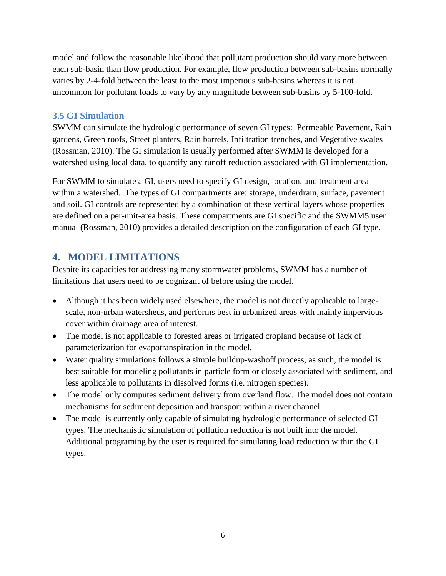model and follow the reasonable likelihood that pollutant production should vary more between each sub-basin than flow production. For example, flow production between sub-basins normally varies by 2-4-fold between the least to the most imperious sub-basins whereas it is not uncommon for pollutant loads to vary by any magnitude between sub-basins by 5-100-fold.

## **3.5 GI Simulation**

SWMM can simulate the hydrologic performance of seven GI types: Permeable Pavement, Rain gardens, Green roofs, Street planters, Rain barrels, Infiltration trenches, and Vegetative swales (Rossman, 2010). The GI simulation is usually performed after SWMM is developed for a watershed using local data, to quantify any runoff reduction associated with GI implementation.

For SWMM to simulate a GI, users need to specify GI design, location, and treatment area within a watershed. The types of GI compartments are: storage, underdrain, surface, pavement and soil. GI controls are represented by a combination of these vertical layers whose properties are defined on a per-unit-area basis. These compartments are GI specific and the SWMM5 user manual (Rossman, 2010) provides a detailed description on the configuration of each GI type.

# **4. MODEL LIMITATIONS**

Despite its capacities for addressing many stormwater problems, SWMM has a number of limitations that users need to be cognizant of before using the model.

- Although it has been widely used elsewhere, the model is not directly applicable to largescale, non-urban watersheds, and performs best in urbanized areas with mainly impervious cover within drainage area of interest.
- The model is not applicable to forested areas or irrigated cropland because of lack of parameterization for evapotranspiration in the model.
- Water quality simulations follows a simple buildup-washoff process, as such, the model is best suitable for modeling pollutants in particle form or closely associated with sediment, and less applicable to pollutants in dissolved forms (i.e. nitrogen species).
- The model only computes sediment delivery from overland flow. The model does not contain mechanisms for sediment deposition and transport within a river channel.
- The model is currently only capable of simulating hydrologic performance of selected GI types. The mechanistic simulation of pollution reduction is not built into the model. Additional programing by the user is required for simulating load reduction within the GI types.